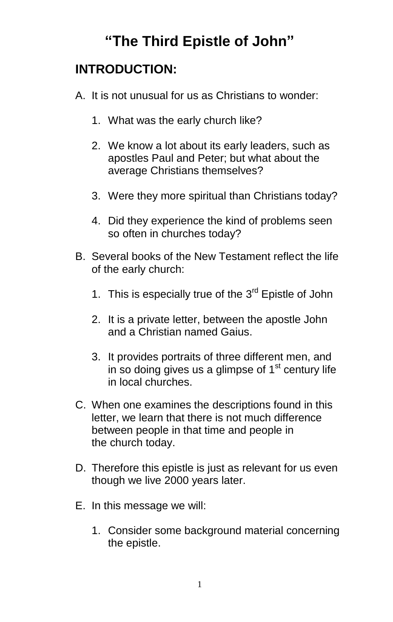# **"The Third Epistle of John"**

# **INTRODUCTION:**

- A. It is not unusual for us as Christians to wonder:
	- 1. What was the early church like?
	- 2. We know a lot about its early leaders, such as apostles Paul and Peter; but what about the average Christians themselves?
	- 3. Were they more spiritual than Christians today?
	- 4. Did they experience the kind of problems seen so often in churches today?
- B. Several books of the New Testament reflect the life of the early church:
	- 1. This is especially true of the  $3<sup>rd</sup>$  Epistle of John
	- 2. It is a private letter, between the apostle John and a Christian named Gaius.
	- 3. It provides portraits of three different men, and in so doing gives us a glimpse of  $1<sup>st</sup>$  century life in local churches.
- C. When one examines the descriptions found in this letter, we learn that there is not much difference between people in that time and people in the church today.
- D. Therefore this epistle is just as relevant for us even though we live 2000 years later.
- E. In this message we will:
	- 1. Consider some background material concerning the epistle.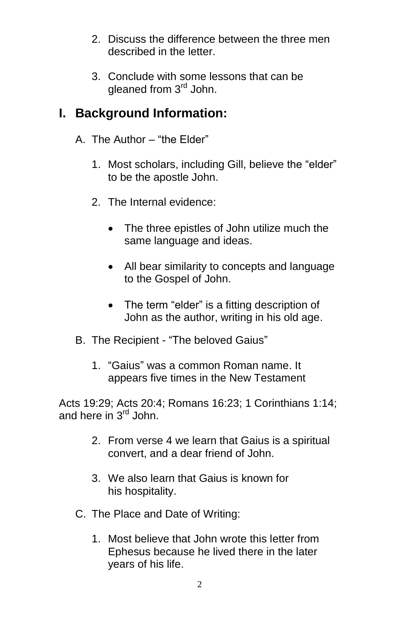- 2. Discuss the difference between the three men described in the letter.
- 3. Conclude with some lessons that can be gleaned from 3<sup>rd</sup> John.

# **I. Background Information:**

- A. The Author "the Elder"
	- 1. Most scholars, including Gill, believe the "elder" to be the apostle John.
	- 2. The Internal evidence:
		- The three epistles of John utilize much the same language and ideas.
		- All bear similarity to concepts and language to the Gospel of John.
		- The term "elder" is a fitting description of John as the author, writing in his old age.
- B. The Recipient "The beloved Gaius"
	- 1. "Gaius" was a common Roman name. It appears five times in the New Testament

Acts 19:29; Acts 20:4; Romans 16:23; 1 Corinthians 1:14; and here in 3<sup>rd</sup> John.

- 2. From verse 4 we learn that Gaius is a spiritual convert, and a dear friend of John.
- 3. We also learn that Gaius is known for his hospitality.
- C. The Place and Date of Writing:
	- 1. Most believe that John wrote this letter from Ephesus because he lived there in the later years of his life.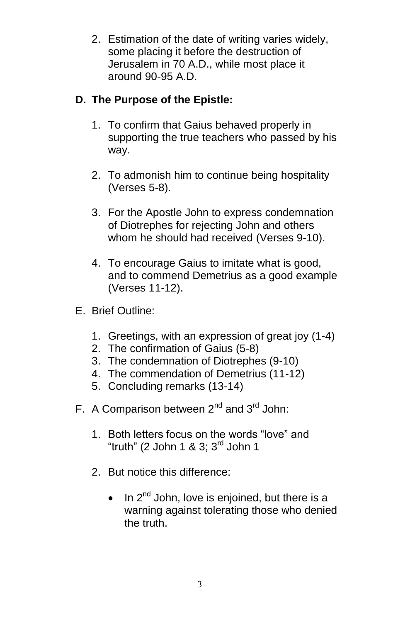2. Estimation of the date of writing varies widely, some placing it before the destruction of Jerusalem in 70 A.D., while most place it around 90-95 A.D.

### **D. The Purpose of the Epistle:**

- 1. To confirm that Gaius behaved properly in supporting the true teachers who passed by his way.
- 2. To admonish him to continue being hospitality (Verses 5-8).
- 3. For the Apostle John to express condemnation of Diotrephes for rejecting John and others whom he should had received (Verses 9-10).
- 4. To encourage Gaius to imitate what is good, and to commend Demetrius as a good example (Verses 11-12).
- E. Brief Outline:
	- 1. Greetings, with an expression of great joy (1-4)
	- 2. The confirmation of Gaius (5-8)
	- 3. The condemnation of Diotrephes (9-10)
	- 4. The commendation of Demetrius (11-12)
	- 5. Concluding remarks (13-14)
- F. A Comparison between  $2^{nd}$  and  $3^{rd}$  John:
	- 1. Both letters focus on the words "love" and "truth" (2 John 1 & 3;  $3<sup>rd</sup>$  John 1
	- 2. But notice this difference:
		- $\bullet$  In 2<sup>nd</sup> John, love is enjoined, but there is a warning against tolerating those who denied the truth.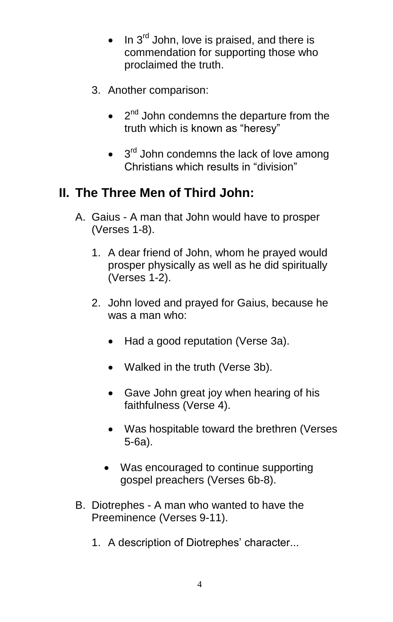- $\bullet$  In 3<sup>rd</sup> John, love is praised, and there is commendation for supporting those who proclaimed the truth.
- 3. Another comparison:
	- $\bullet$   $2^{nd}$  John condemns the departure from the truth which is known as "heresy"
	- $\bullet$  3<sup>rd</sup> John condemns the lack of love among Christians which results in "division"

# **II. The Three Men of Third John:**

- A. Gaius A man that John would have to prosper (Verses 1-8).
	- 1. A dear friend of John, whom he prayed would prosper physically as well as he did spiritually (Verses 1-2).
	- 2. John loved and prayed for Gaius, because he was a man who:
		- Had a good reputation (Verse 3a).
		- Walked in the truth (Verse 3b).
		- Gave John great joy when hearing of his faithfulness (Verse 4).
		- Was hospitable toward the brethren (Verses 5-6a).
		- Was encouraged to continue supporting gospel preachers (Verses 6b-8).
- B. Diotrephes A man who wanted to have the Preeminence (Verses 9-11).
	- 1. A description of Diotrephes' character...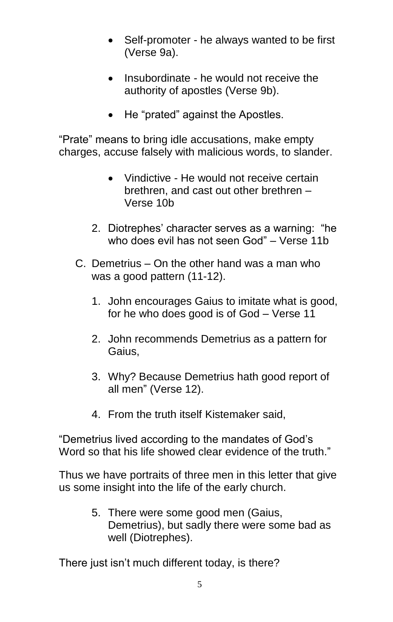- Self-promoter he always wanted to be first (Verse 9a).
- Insubordinate he would not receive the authority of apostles (Verse 9b).
- He "prated" against the Apostles.

"Prate" means to bring idle accusations, make empty charges, accuse falsely with malicious words, to slander.

- Vindictive He would not receive certain brethren, and cast out other brethren – Verse 10b
- 2. Diotrephes' character serves as a warning: "he who does evil has not seen God" – Verse 11b
- C. Demetrius On the other hand was a man who was a good pattern (11-12).
	- 1. John encourages Gaius to imitate what is good, for he who does good is of God – Verse 11
	- 2. John recommends Demetrius as a pattern for Gaius,
	- 3. Why? Because Demetrius hath good report of all men" (Verse 12).
	- 4. From the truth itself Kistemaker said,

"Demetrius lived according to the mandates of God's Word so that his life showed clear evidence of the truth."

Thus we have portraits of three men in this letter that give us some insight into the life of the early church.

> 5. There were some good men (Gaius, Demetrius), but sadly there were some bad as well (Diotrephes).

There just isn't much different today, is there?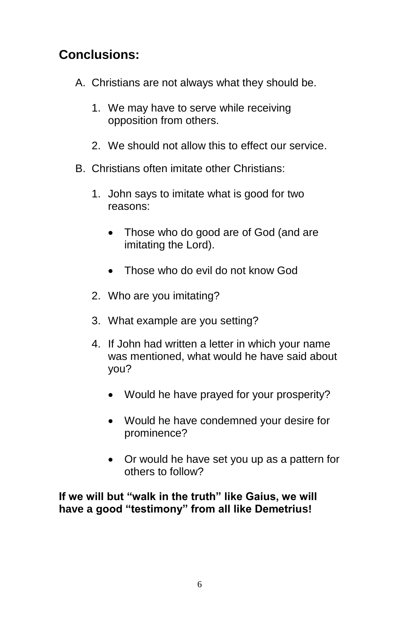# **Conclusions:**

- A. Christians are not always what they should be.
	- 1. We may have to serve while receiving opposition from others.
	- 2. We should not allow this to effect our service.
- B. Christians often imitate other Christians:
	- 1. John says to imitate what is good for two reasons:
		- Those who do good are of God (and are imitating the Lord).
		- Those who do evil do not know God
	- 2. Who are you imitating?
	- 3. What example are you setting?
	- 4. If John had written a letter in which your name was mentioned, what would he have said about you?
		- Would he have prayed for your prosperity?
		- Would he have condemned your desire for prominence?
		- Or would he have set you up as a pattern for others to follow?

**If we will but "walk in the truth" like Gaius, we will have a good "testimony" from all like Demetrius!**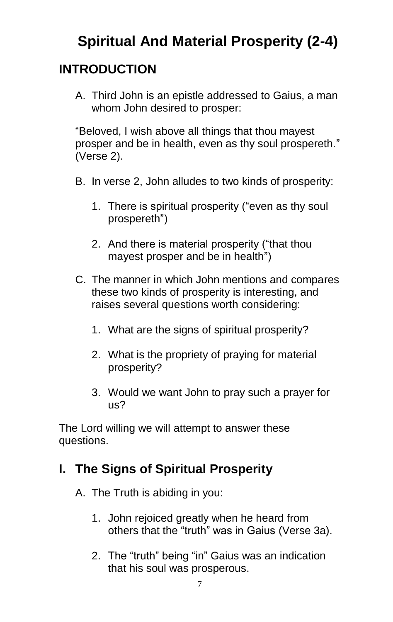# **Spiritual And Material Prosperity (2-4)**

# **INTRODUCTION**

A. Third John is an epistle addressed to Gaius, a man whom John desired to prosper:

"Beloved, I wish above all things that thou mayest prosper and be in health, even as thy soul prospereth." (Verse 2).

- B. In verse 2, John alludes to two kinds of prosperity:
	- 1. There is spiritual prosperity ("even as thy soul prospereth")
	- 2. And there is material prosperity ("that thou mayest prosper and be in health")
- C. The manner in which John mentions and compares these two kinds of prosperity is interesting, and raises several questions worth considering:
	- 1. What are the signs of spiritual prosperity?
	- 2. What is the propriety of praying for material prosperity?
	- 3. Would we want John to pray such a prayer for us?

The Lord willing we will attempt to answer these questions.

# **I. The Signs of Spiritual Prosperity**

- A. The Truth is abiding in you:
	- 1. John rejoiced greatly when he heard from others that the "truth" was in Gaius (Verse 3a).
	- 2. The "truth" being "in" Gaius was an indication that his soul was prosperous.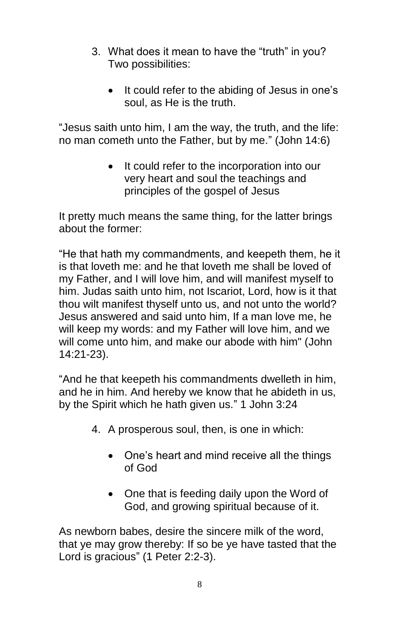- 3. What does it mean to have the "truth" in you? Two possibilities:
	- It could refer to the abiding of Jesus in one's soul, as He is the truth.

"Jesus saith unto him, I am the way, the truth, and the life: no man cometh unto the Father, but by me." (John 14:6)

> • It could refer to the incorporation into our very heart and soul the teachings and principles of the gospel of Jesus

It pretty much means the same thing, for the latter brings about the former:

"He that hath my commandments, and keepeth them, he it is that loveth me: and he that loveth me shall be loved of my Father, and I will love him, and will manifest myself to him. Judas saith unto him, not Iscariot, Lord, how is it that thou wilt manifest thyself unto us, and not unto the world? Jesus answered and said unto him, If a man love me, he will keep my words: and my Father will love him, and we will come unto him, and make our abode with him" (John 14:21-23).

"And he that keepeth his commandments dwelleth in him, and he in him. And hereby we know that he abideth in us, by the Spirit which he hath given us." 1 John 3:24

- 4. A prosperous soul, then, is one in which:
	- One's heart and mind receive all the things of God
	- One that is feeding daily upon the Word of God, and growing spiritual because of it.

As newborn babes, desire the sincere milk of the word, that ye may grow thereby: If so be ye have tasted that the Lord is gracious" (1 Peter 2:2-3).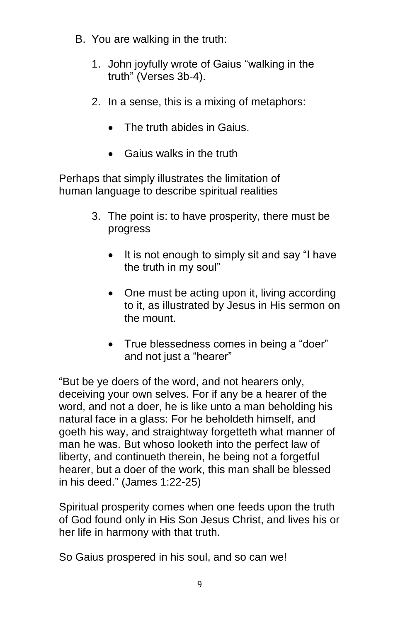- B. You are walking in the truth:
	- 1. John joyfully wrote of Gaius "walking in the truth" (Verses 3b-4).
	- 2. In a sense, this is a mixing of metaphors:
		- The truth abides in Gaius.
		- Gaius walks in the truth

Perhaps that simply illustrates the limitation of human language to describe spiritual realities

- 3. The point is: to have prosperity, there must be progress
	- It is not enough to simply sit and say "I have the truth in my soul"
	- One must be acting upon it, living according to it, as illustrated by Jesus in His sermon on the mount.
	- True blessedness comes in being a "doer" and not just a "hearer"

"But be ye doers of the word, and not hearers only, deceiving your own selves. For if any be a hearer of the word, and not a doer, he is like unto a man beholding his natural face in a glass: For he beholdeth himself, and goeth his way, and straightway forgetteth what manner of man he was. But whoso looketh into the perfect law of liberty, and continueth therein, he being not a forgetful hearer, but a doer of the work, this man shall be blessed in his deed." (James 1:22-25)

Spiritual prosperity comes when one feeds upon the truth of God found only in His Son Jesus Christ, and lives his or her life in harmony with that truth.

So Gaius prospered in his soul, and so can we!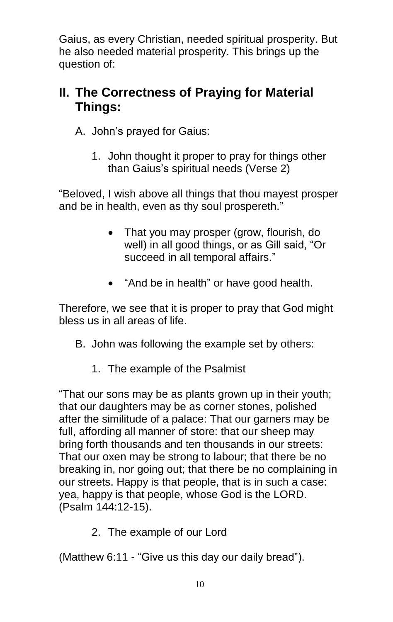Gaius, as every Christian, needed spiritual prosperity. But he also needed material prosperity. This brings up the question of:

## **II. The Correctness of Praying for Material Things:**

A. John's prayed for Gaius:

1. John thought it proper to pray for things other than Gaius's spiritual needs (Verse 2)

"Beloved, I wish above all things that thou mayest prosper and be in health, even as thy soul prospereth."

- That you may prosper (grow, flourish, do well) in all good things, or as Gill said, "Or succeed in all temporal affairs."
- "And be in health" or have good health.

Therefore, we see that it is proper to pray that God might bless us in all areas of life.

- B. John was following the example set by others:
	- 1. The example of the Psalmist

"That our sons may be as plants grown up in their youth; that our daughters may be as corner stones, polished after the similitude of a palace: That our garners may be full, affording all manner of store: that our sheep may bring forth thousands and ten thousands in our streets: That our oxen may be strong to labour; that there be no breaking in, nor going out; that there be no complaining in our streets. Happy is that people, that is in such a case: yea, happy is that people, whose God is the LORD. (Psalm 144:12-15).

2. The example of our Lord

(Matthew 6:11 - "Give us this day our daily bread").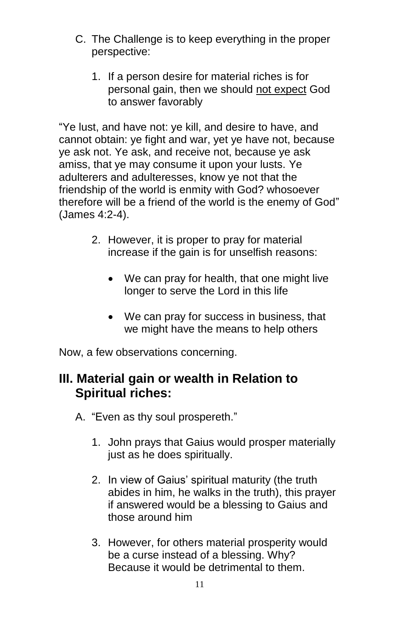- C. The Challenge is to keep everything in the proper perspective:
	- 1. If a person desire for material riches is for personal gain, then we should not expect God to answer favorably

"Ye lust, and have not: ye kill, and desire to have, and cannot obtain: ye fight and war, yet ye have not, because ye ask not. Ye ask, and receive not, because ye ask amiss, that ye may consume it upon your lusts. Ye adulterers and adulteresses, know ye not that the friendship of the world is enmity with God? whosoever therefore will be a friend of the world is the enemy of God" (James 4:2-4).

- 2. However, it is proper to pray for material increase if the gain is for unselfish reasons:
	- We can pray for health, that one might live longer to serve the Lord in this life
	- We can pray for success in business, that we might have the means to help others

Now, a few observations concerning.

## **III. Material gain or wealth in Relation to Spiritual riches:**

- A. "Even as thy soul prospereth."
	- 1. John prays that Gaius would prosper materially just as he does spiritually.
	- 2. In view of Gaius' spiritual maturity (the truth abides in him, he walks in the truth), this prayer if answered would be a blessing to Gaius and those around him
	- 3. However, for others material prosperity would be a curse instead of a blessing. Why? Because it would be detrimental to them.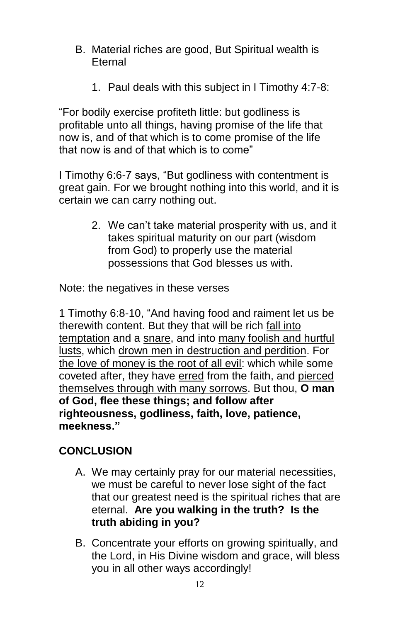- B. Material riches are good, But Spiritual wealth is Eternal
	- 1. Paul deals with this subject in I Timothy 4:7-8:

"For bodily exercise profiteth little: but godliness is profitable unto all things, having promise of the life that now is, and of that which is to come promise of the life that now is and of that which is to come"

I Timothy 6:6-7 says, "But godliness with contentment is great gain. For we brought nothing into this world, and it is certain we can carry nothing out.

> 2. We can't take material prosperity with us, and it takes spiritual maturity on our part (wisdom from God) to properly use the material possessions that God blesses us with.

Note: the negatives in these verses

1 Timothy 6:8-10, "And having food and raiment let us be therewith content. But they that will be rich fall into temptation and a snare, and into many foolish and hurtful lusts, which drown men in destruction and perdition. For the love of money is the root of all evil: which while some coveted after, they have erred from the faith, and pierced themselves through with many sorrows. But thou, **O man of God, flee these things; and follow after righteousness, godliness, faith, love, patience, meekness."**

### **CONCLUSION**

- A. We may certainly pray for our material necessities, we must be careful to never lose sight of the fact that our greatest need is the spiritual riches that are eternal. **Are you walking in the truth? Is the truth abiding in you?**
- B. Concentrate your efforts on growing spiritually, and the Lord, in His Divine wisdom and grace, will bless you in all other ways accordingly!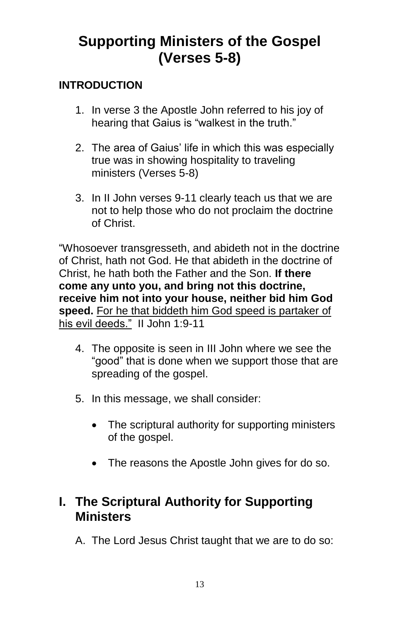# **Supporting Ministers of the Gospel (Verses 5-8)**

#### **INTRODUCTION**

- 1. In verse 3 the Apostle John referred to his joy of hearing that Gaius is "walkest in the truth."
- 2. The area of Gaius' life in which this was especially true was in showing hospitality to traveling ministers (Verses 5-8)
- 3. In II John verses 9-11 clearly teach us that we are not to help those who do not proclaim the doctrine of Christ.

"Whosoever transgresseth, and abideth not in the doctrine of Christ, hath not God. He that abideth in the doctrine of Christ, he hath both the Father and the Son. **If there come any unto you, and bring not this doctrine, receive him not into your house, neither bid him God speed.** For he that biddeth him God speed is partaker of his evil deeds." II John 1:9-11

- 4. The opposite is seen in III John where we see the "good" that is done when we support those that are spreading of the gospel.
- 5. In this message, we shall consider:
	- The scriptural authority for supporting ministers of the gospel.
	- The reasons the Apostle John gives for do so.

## **I. The Scriptural Authority for Supporting Ministers**

A. The Lord Jesus Christ taught that we are to do so: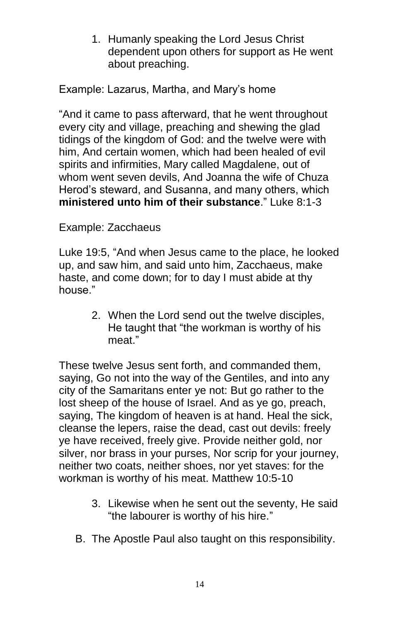1. Humanly speaking the Lord Jesus Christ dependent upon others for support as He went about preaching.

Example: Lazarus, Martha, and Mary's home

"And it came to pass afterward, that he went throughout every city and village, preaching and shewing the glad tidings of the kingdom of God: and the twelve were with him, And certain women, which had been healed of evil spirits and infirmities, Mary called Magdalene, out of whom went seven devils, And Joanna the wife of Chuza Herod's steward, and Susanna, and many others, which **ministered unto him of their substance**." Luke 8:1-3

#### Example: Zacchaeus

Luke 19:5, "And when Jesus came to the place, he looked up, and saw him, and said unto him, Zacchaeus, make haste, and come down; for to day I must abide at thy house."

> 2. When the Lord send out the twelve disciples, He taught that "the workman is worthy of his meat."

These twelve Jesus sent forth, and commanded them, saying, Go not into the way of the Gentiles, and into any city of the Samaritans enter ye not: But go rather to the lost sheep of the house of Israel. And as ye go, preach, saying, The kingdom of heaven is at hand. Heal the sick, cleanse the lepers, raise the dead, cast out devils: freely ye have received, freely give. Provide neither gold, nor silver, nor brass in your purses, Nor scrip for your journey, neither two coats, neither shoes, nor yet staves: for the workman is worthy of his meat. Matthew 10:5-10

- 3. Likewise when he sent out the seventy, He said "the labourer is worthy of his hire."
- B. The Apostle Paul also taught on this responsibility.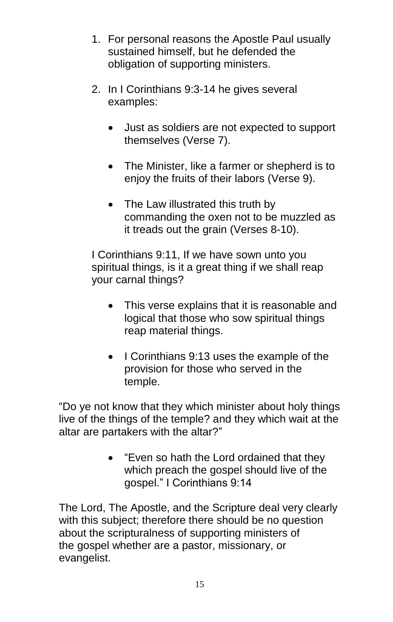- 1. For personal reasons the Apostle Paul usually sustained himself, but he defended the obligation of supporting ministers.
- 2. In I Corinthians 9:3-14 he gives several examples:
	- Just as soldiers are not expected to support themselves (Verse 7).
	- The Minister, like a farmer or shepherd is to enjoy the fruits of their labors (Verse 9).
	- The Law illustrated this truth by commanding the oxen not to be muzzled as it treads out the grain (Verses 8-10).

I Corinthians 9:11, If we have sown unto you spiritual things, is it a great thing if we shall reap your carnal things?

- This verse explains that it is reasonable and logical that those who sow spiritual things reap material things.
- I Corinthians 9:13 uses the example of the provision for those who served in the temple.

"Do ye not know that they which minister about holy things live of the things of the temple? and they which wait at the altar are partakers with the altar?"

> "Even so hath the Lord ordained that they which preach the gospel should live of the gospel." I Corinthians 9:14

The Lord, The Apostle, and the Scripture deal very clearly with this subject; therefore there should be no question about the scripturalness of supporting ministers of the gospel whether are a pastor, missionary, or evangelist.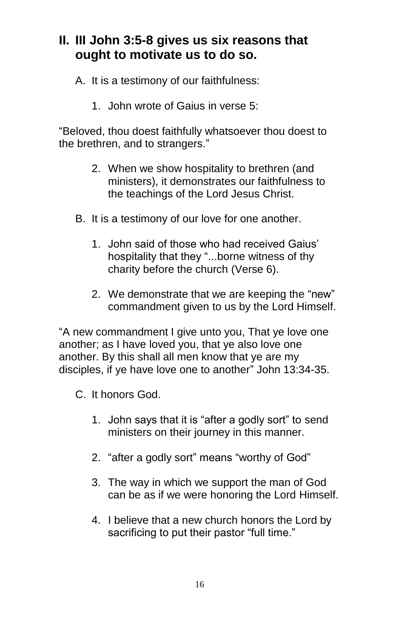# **II. III John 3:5-8 gives us six reasons that ought to motivate us to do so.**

- A. It is a testimony of our faithfulness:
	- 1. John wrote of Gaius in verse 5:

"Beloved, thou doest faithfully whatsoever thou doest to the brethren, and to strangers."

- 2. When we show hospitality to brethren (and ministers), it demonstrates our faithfulness to the teachings of the Lord Jesus Christ.
- B. It is a testimony of our love for one another.
	- 1. John said of those who had received Gaius' hospitality that they "...borne witness of thy charity before the church (Verse 6).
	- 2. We demonstrate that we are keeping the "new" commandment given to us by the Lord Himself.

"A new commandment I give unto you, That ye love one another; as I have loved you, that ye also love one another. By this shall all men know that ye are my disciples, if ye have love one to another" John 13:34-35.

- C. It honors God.
	- 1. John says that it is "after a godly sort" to send ministers on their journey in this manner.
	- 2. "after a godly sort" means "worthy of God"
	- 3. The way in which we support the man of God can be as if we were honoring the Lord Himself.
	- 4. I believe that a new church honors the Lord by sacrificing to put their pastor "full time."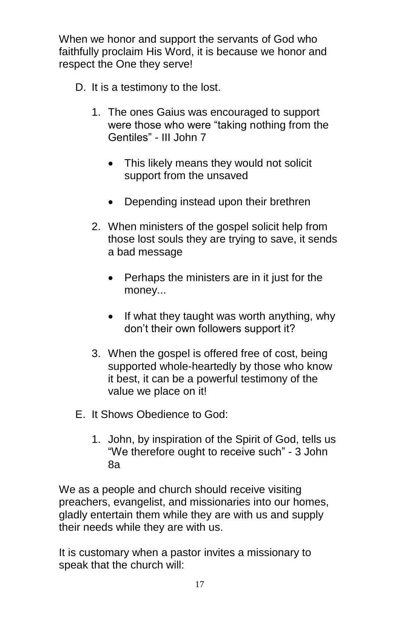When we honor and support the servants of God who faithfully proclaim His Word, it is because we honor and respect the One they serve!

- D. It is a testimony to the lost.
	- 1. The ones Gaius was encouraged to support were those who were "taking nothing from the Gentiles" - III John 7
		- This likely means they would not solicit support from the unsaved
		- Depending instead upon their brethren
	- 2. When ministers of the gospel solicit help from those lost souls they are trying to save, it sends a bad message
		- Perhaps the ministers are in it just for the money...
		- $\bullet$  If what they taught was worth anything, why don't their own followers support it?
	- 3. When the gospel is offered free of cost, being supported whole-heartedly by those who know it best, it can be a powerful testimony of the value we place on it!
- E. It Shows Obedience to God:
	- 1. John, by inspiration of the Spirit of God, tells us "We therefore ought to receive such" - 3 John 8a

We as a people and church should receive visiting preachers, evangelist, and missionaries into our homes, gladly entertain them while they are with us and supply their needs while they are with us.

It is customary when a pastor invites a missionary to speak that the church will: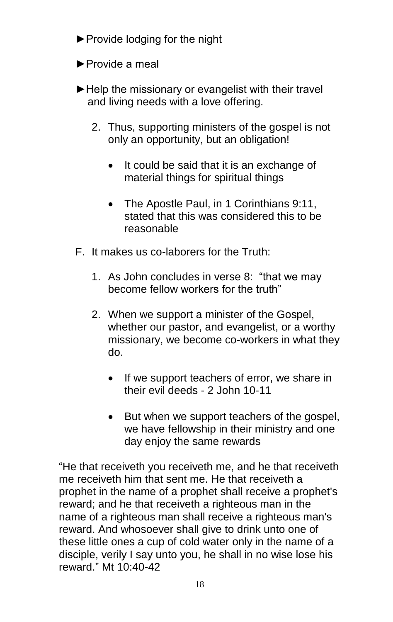- ►Provide lodging for the night
- ►Provide a meal
- ► Help the missionary or evangelist with their travel and living needs with a love offering.
	- 2. Thus, supporting ministers of the gospel is not only an opportunity, but an obligation!
		- It could be said that it is an exchange of material things for spiritual things
		- The Apostle Paul, in 1 Corinthians 9:11, stated that this was considered this to be reasonable
- F. It makes us co-laborers for the Truth:
	- 1. As John concludes in verse 8: "that we may become fellow workers for the truth"
	- 2. When we support a minister of the Gospel, whether our pastor, and evangelist, or a worthy missionary, we become co-workers in what they do.
		- If we support teachers of error, we share in their evil deeds - 2 John 10-11
		- But when we support teachers of the gospel, we have fellowship in their ministry and one day enjoy the same rewards

"He that receiveth you receiveth me, and he that receiveth me receiveth him that sent me. He that receiveth a prophet in the name of a prophet shall receive a prophet's reward; and he that receiveth a righteous man in the name of a righteous man shall receive a righteous man's reward. And whosoever shall give to drink unto one of these little ones a cup of cold water only in the name of a disciple, verily I say unto you, he shall in no wise lose his reward." Mt 10:40-42